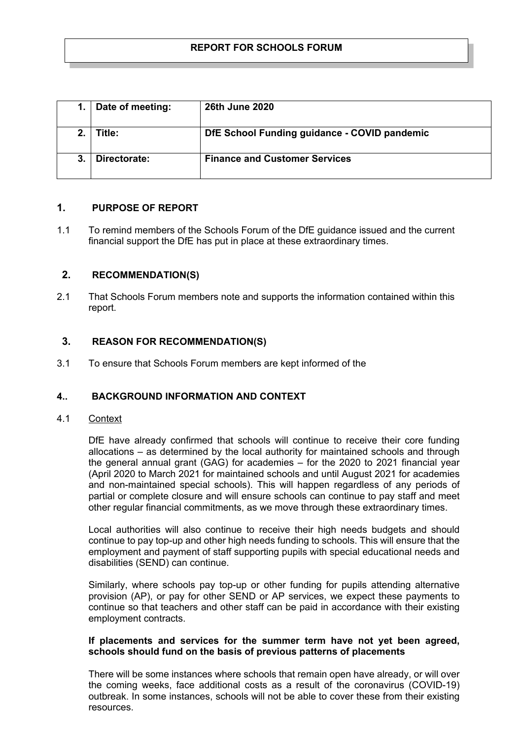| Date of meeting: | <b>26th June 2020</b>                        |
|------------------|----------------------------------------------|
| Title:           | DfE School Funding guidance - COVID pandemic |
| Directorate:     | <b>Finance and Customer Services</b>         |

# **1. PURPOSE OF REPORT**

1.1 To remind members of the Schools Forum of the DfE guidance issued and the current financial support the DfE has put in place at these extraordinary times.

## **2. RECOMMENDATION(S)**

2.1 That Schools Forum members note and supports the information contained within this report.

## **3. REASON FOR RECOMMENDATION(S)**

3.1 To ensure that Schools Forum members are kept informed of the

### **4.. BACKGROUND INFORMATION AND CONTEXT**

4.1 Context

DfE have already confirmed that schools will continue to receive their core funding allocations – as determined by the local authority for maintained schools and through the general annual grant (GAG) for academies – for the 2020 to 2021 financial year (April 2020 to March 2021 for maintained schools and until August 2021 for academies and non-maintained special schools). This will happen regardless of any periods of partial or complete closure and will ensure schools can continue to pay staff and meet other regular financial commitments, as we move through these extraordinary times.

Local authorities will also continue to receive their high needs budgets and should continue to pay top-up and other high needs funding to schools. This will ensure that the employment and payment of staff supporting pupils with special educational needs and disabilities (SEND) can continue.

Similarly, where schools pay top-up or other funding for pupils attending alternative provision (AP), or pay for other SEND or AP services, we expect these payments to continue so that teachers and other staff can be paid in accordance with their existing employment contracts.

## **If placements and services for the summer term have not yet been agreed, schools should fund on the basis of previous patterns of placements**

There will be some instances where schools that remain open have already, or will over the coming weeks, face additional costs as a result of the coronavirus (COVID-19) outbreak. In some instances, schools will not be able to cover these from their existing resources.